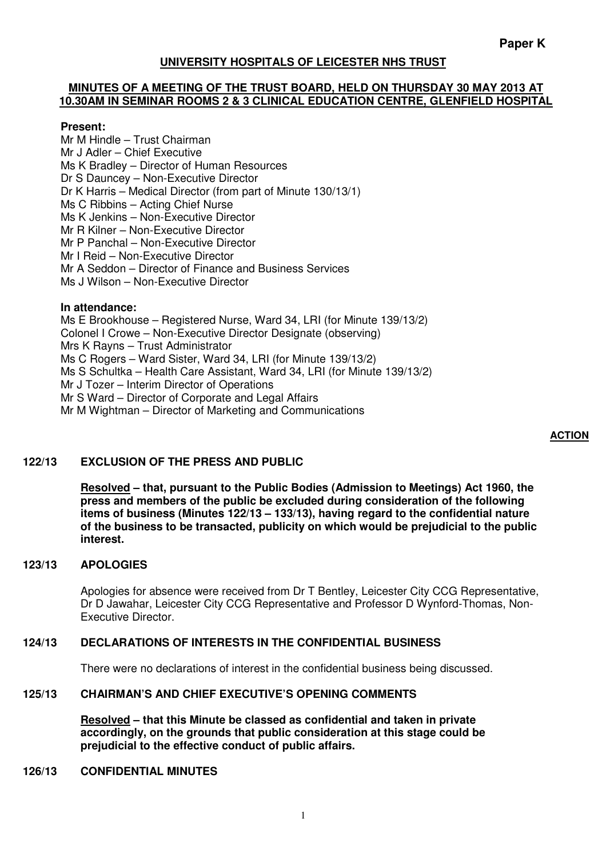# **UNIVERSITY HOSPITALS OF LEICESTER NHS TRUST**

#### **MINUTES OF A MEETING OF THE TRUST BOARD, HELD ON THURSDAY 30 MAY 2013 AT 10.30AM IN SEMINAR ROOMS 2 & 3 CLINICAL EDUCATION CENTRE, GLENFIELD HOSPITAL**

#### **Present:**

Mr M Hindle – Trust Chairman Mr J Adler – Chief Executive Ms K Bradley – Director of Human Resources Dr S Dauncey – Non-Executive Director Dr K Harris – Medical Director (from part of Minute 130/13/1) Ms C Ribbins – Acting Chief Nurse Ms K Jenkins – Non-Executive Director Mr R Kilner – Non-Executive Director Mr P Panchal – Non-Executive Director Mr I Reid – Non-Executive Director Mr A Seddon – Director of Finance and Business Services Ms J Wilson – Non-Executive Director

#### **In attendance:**

Ms E Brookhouse – Registered Nurse, Ward 34, LRI (for Minute 139/13/2) Colonel I Crowe – Non-Executive Director Designate (observing) Mrs K Rayns – Trust Administrator Ms C Rogers – Ward Sister, Ward 34, LRI (for Minute 139/13/2) Ms S Schultka – Health Care Assistant, Ward 34, LRI (for Minute 139/13/2) Mr J Tozer – Interim Director of Operations Mr S Ward – Director of Corporate and Legal Affairs Mr M Wightman – Director of Marketing and Communications

#### **ACTION**

#### **122/13 EXCLUSION OF THE PRESS AND PUBLIC**

**Resolved – that, pursuant to the Public Bodies (Admission to Meetings) Act 1960, the press and members of the public be excluded during consideration of the following items of business (Minutes 122/13 – 133/13), having regard to the confidential nature of the business to be transacted, publicity on which would be prejudicial to the public interest.** 

#### **123/13 APOLOGIES**

Apologies for absence were received from Dr T Bentley, Leicester City CCG Representative, Dr D Jawahar, Leicester City CCG Representative and Professor D Wynford-Thomas, Non-Executive Director.

# **124/13 DECLARATIONS OF INTERESTS IN THE CONFIDENTIAL BUSINESS**

There were no declarations of interest in the confidential business being discussed.

#### **125/13 CHAIRMAN'S AND CHIEF EXECUTIVE'S OPENING COMMENTS**

**Resolved – that this Minute be classed as confidential and taken in private accordingly, on the grounds that public consideration at this stage could be prejudicial to the effective conduct of public affairs.** 

#### **126/13 CONFIDENTIAL MINUTES**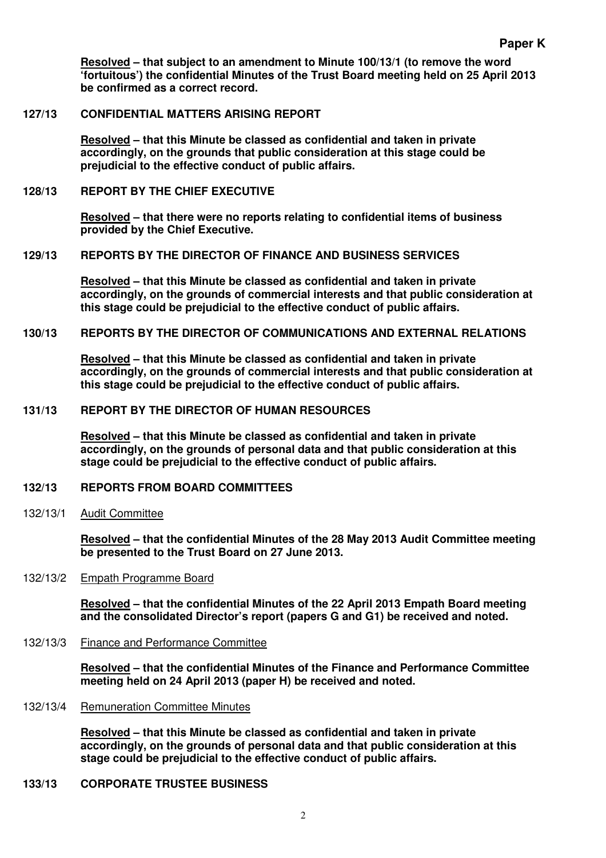**Resolved – that subject to an amendment to Minute 100/13/1 (to remove the word 'fortuitous') the confidential Minutes of the Trust Board meeting held on 25 April 2013 be confirmed as a correct record.** 

#### **127/13 CONFIDENTIAL MATTERS ARISING REPORT**

**Resolved – that this Minute be classed as confidential and taken in private accordingly, on the grounds that public consideration at this stage could be prejudicial to the effective conduct of public affairs.** 

# **128/13 REPORT BY THE CHIEF EXECUTIVE**

**Resolved – that there were no reports relating to confidential items of business provided by the Chief Executive.** 

# **129/13 REPORTS BY THE DIRECTOR OF FINANCE AND BUSINESS SERVICES**

**Resolved – that this Minute be classed as confidential and taken in private accordingly, on the grounds of commercial interests and that public consideration at this stage could be prejudicial to the effective conduct of public affairs.** 

# **130/13 REPORTS BY THE DIRECTOR OF COMMUNICATIONS AND EXTERNAL RELATIONS**

**Resolved – that this Minute be classed as confidential and taken in private accordingly, on the grounds of commercial interests and that public consideration at this stage could be prejudicial to the effective conduct of public affairs.** 

#### **131/13 REPORT BY THE DIRECTOR OF HUMAN RESOURCES**

**Resolved – that this Minute be classed as confidential and taken in private accordingly, on the grounds of personal data and that public consideration at this stage could be prejudicial to the effective conduct of public affairs.** 

#### **132/13 REPORTS FROM BOARD COMMITTEES**

#### 132/13/1 Audit Committee

**Resolved – that the confidential Minutes of the 28 May 2013 Audit Committee meeting be presented to the Trust Board on 27 June 2013.** 

#### 132/13/2 Empath Programme Board

**Resolved – that the confidential Minutes of the 22 April 2013 Empath Board meeting and the consolidated Director's report (papers G and G1) be received and noted.** 

132/13/3 Finance and Performance Committee

**Resolved – that the confidential Minutes of the Finance and Performance Committee meeting held on 24 April 2013 (paper H) be received and noted.** 

132/13/4 Remuneration Committee Minutes

**Resolved – that this Minute be classed as confidential and taken in private accordingly, on the grounds of personal data and that public consideration at this stage could be prejudicial to the effective conduct of public affairs.** 

# **133/13 CORPORATE TRUSTEE BUSINESS**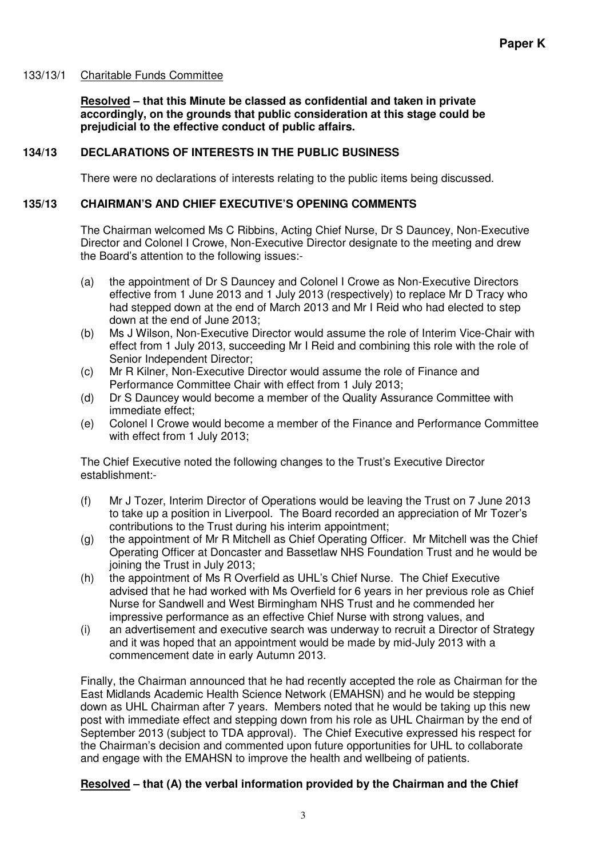# 133/13/1 Charitable Funds Committee

**Resolved – that this Minute be classed as confidential and taken in private accordingly, on the grounds that public consideration at this stage could be prejudicial to the effective conduct of public affairs.** 

# **134/13 DECLARATIONS OF INTERESTS IN THE PUBLIC BUSINESS**

There were no declarations of interests relating to the public items being discussed.

# **135/13 CHAIRMAN'S AND CHIEF EXECUTIVE'S OPENING COMMENTS**

The Chairman welcomed Ms C Ribbins, Acting Chief Nurse, Dr S Dauncey, Non-Executive Director and Colonel I Crowe, Non-Executive Director designate to the meeting and drew the Board's attention to the following issues:-

- (a) the appointment of Dr S Dauncey and Colonel I Crowe as Non-Executive Directors effective from 1 June 2013 and 1 July 2013 (respectively) to replace Mr D Tracy who had stepped down at the end of March 2013 and Mr I Reid who had elected to step down at the end of June 2013;
- (b) Ms J Wilson, Non-Executive Director would assume the role of Interim Vice-Chair with effect from 1 July 2013, succeeding Mr I Reid and combining this role with the role of Senior Independent Director;
- (c) Mr R Kilner, Non-Executive Director would assume the role of Finance and Performance Committee Chair with effect from 1 July 2013;
- (d) Dr S Dauncey would become a member of the Quality Assurance Committee with immediate effect;
- (e) Colonel I Crowe would become a member of the Finance and Performance Committee with effect from 1 July 2013;

The Chief Executive noted the following changes to the Trust's Executive Director establishment:-

- (f) Mr J Tozer, Interim Director of Operations would be leaving the Trust on 7 June 2013 to take up a position in Liverpool. The Board recorded an appreciation of Mr Tozer's contributions to the Trust during his interim appointment;
- (g) the appointment of Mr R Mitchell as Chief Operating Officer. Mr Mitchell was the Chief Operating Officer at Doncaster and Bassetlaw NHS Foundation Trust and he would be joining the Trust in July 2013;
- (h) the appointment of Ms R Overfield as UHL's Chief Nurse. The Chief Executive advised that he had worked with Ms Overfield for 6 years in her previous role as Chief Nurse for Sandwell and West Birmingham NHS Trust and he commended her impressive performance as an effective Chief Nurse with strong values, and
- (i) an advertisement and executive search was underway to recruit a Director of Strategy and it was hoped that an appointment would be made by mid-July 2013 with a commencement date in early Autumn 2013.

Finally, the Chairman announced that he had recently accepted the role as Chairman for the East Midlands Academic Health Science Network (EMAHSN) and he would be stepping down as UHL Chairman after 7 years. Members noted that he would be taking up this new post with immediate effect and stepping down from his role as UHL Chairman by the end of September 2013 (subject to TDA approval). The Chief Executive expressed his respect for the Chairman's decision and commented upon future opportunities for UHL to collaborate and engage with the EMAHSN to improve the health and wellbeing of patients.

# **Resolved – that (A) the verbal information provided by the Chairman and the Chief**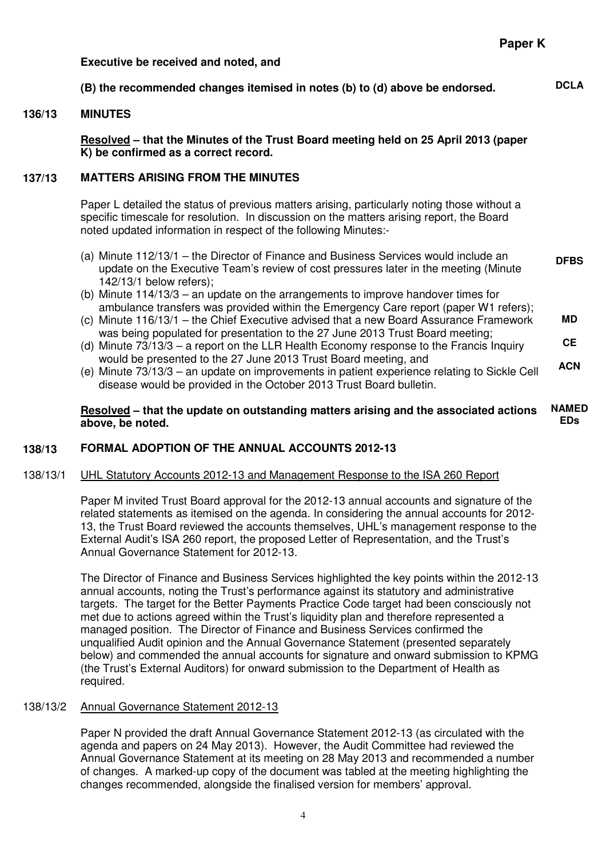#### **Executive be received and noted, and**

# **(B) the recommended changes itemised in notes (b) to (d) above be endorsed. DCLA**

#### **136/13 MINUTES**

**Resolved – that the Minutes of the Trust Board meeting held on 25 April 2013 (paper K) be confirmed as a correct record.** 

#### **137/13 MATTERS ARISING FROM THE MINUTES**

Paper L detailed the status of previous matters arising, particularly noting those without a specific timescale for resolution. In discussion on the matters arising report, the Board noted updated information in respect of the following Minutes:-

- (a) Minute 112/13/1 the Director of Finance and Business Services would include an update on the Executive Team's review of cost pressures later in the meeting (Minute 142/13/1 below refers); **DFBS**
- (b) Minute 114/13/3 an update on the arrangements to improve handover times for ambulance transfers was provided within the Emergency Care report (paper W1 refers);
- (c) Minute 116/13/1 the Chief Executive advised that a new Board Assurance Framework was being populated for presentation to the 27 June 2013 Trust Board meeting; **MD**
- (d) Minute 73/13/3 a report on the LLR Health Economy response to the Francis Inquiry would be presented to the 27 June 2013 Trust Board meeting, and **CE ACN**
- (e) Minute 73/13/3 an update on improvements in patient experience relating to Sickle Cell disease would be provided in the October 2013 Trust Board bulletin.

**Resolved – that the update on outstanding matters arising and the associated actions above, be noted. NAMED EDs** 

# **138/13 FORMAL ADOPTION OF THE ANNUAL ACCOUNTS 2012-13**

#### 138/13/1 UHL Statutory Accounts 2012-13 and Management Response to the ISA 260 Report

Paper M invited Trust Board approval for the 2012-13 annual accounts and signature of the related statements as itemised on the agenda. In considering the annual accounts for 2012- 13, the Trust Board reviewed the accounts themselves, UHL's management response to the External Audit's ISA 260 report, the proposed Letter of Representation, and the Trust's Annual Governance Statement for 2012-13.

The Director of Finance and Business Services highlighted the key points within the 2012-13 annual accounts, noting the Trust's performance against its statutory and administrative targets. The target for the Better Payments Practice Code target had been consciously not met due to actions agreed within the Trust's liquidity plan and therefore represented a managed position. The Director of Finance and Business Services confirmed the unqualified Audit opinion and the Annual Governance Statement (presented separately below) and commended the annual accounts for signature and onward submission to KPMG (the Trust's External Auditors) for onward submission to the Department of Health as required.

#### 138/13/2 Annual Governance Statement 2012-13

Paper N provided the draft Annual Governance Statement 2012-13 (as circulated with the agenda and papers on 24 May 2013). However, the Audit Committee had reviewed the Annual Governance Statement at its meeting on 28 May 2013 and recommended a number of changes. A marked-up copy of the document was tabled at the meeting highlighting the changes recommended, alongside the finalised version for members' approval.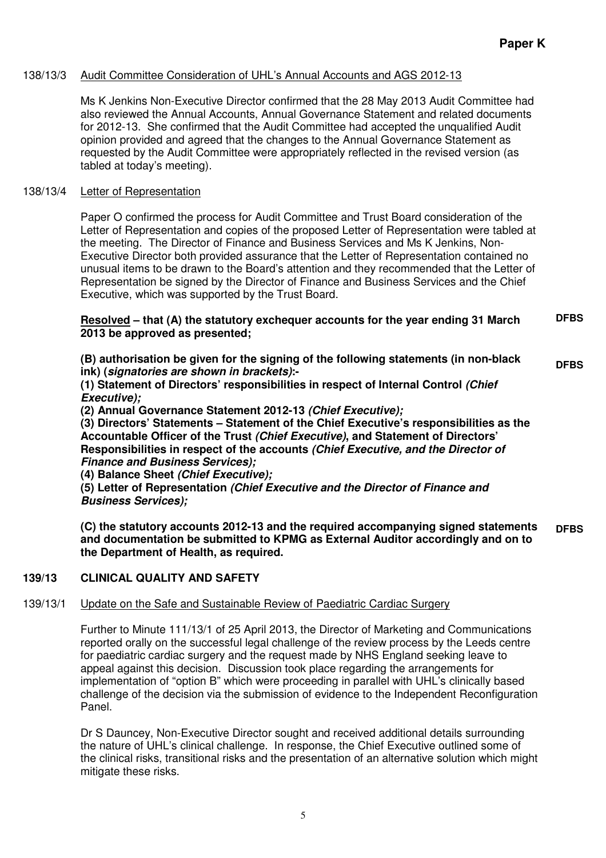# 138/13/3 Audit Committee Consideration of UHL's Annual Accounts and AGS 2012-13

Ms K Jenkins Non-Executive Director confirmed that the 28 May 2013 Audit Committee had also reviewed the Annual Accounts, Annual Governance Statement and related documents for 2012-13. She confirmed that the Audit Committee had accepted the unqualified Audit opinion provided and agreed that the changes to the Annual Governance Statement as requested by the Audit Committee were appropriately reflected in the revised version (as tabled at today's meeting).

# 138/13/4 Letter of Representation

Paper O confirmed the process for Audit Committee and Trust Board consideration of the Letter of Representation and copies of the proposed Letter of Representation were tabled at the meeting. The Director of Finance and Business Services and Ms K Jenkins, Non-Executive Director both provided assurance that the Letter of Representation contained no unusual items to be drawn to the Board's attention and they recommended that the Letter of Representation be signed by the Director of Finance and Business Services and the Chief Executive, which was supported by the Trust Board.

#### **Resolved – that (A) the statutory exchequer accounts for the year ending 31 March 2013 be approved as presented; DFBS**

**(B) authorisation be given for the signing of the following statements (in non-black ink) (signatories are shown in brackets):- DFBS** 

**(1) Statement of Directors' responsibilities in respect of Internal Control (Chief Executive);** 

**(2) Annual Governance Statement 2012-13 (Chief Executive);**

**(3) Directors' Statements – Statement of the Chief Executive's responsibilities as the Accountable Officer of the Trust (Chief Executive), and Statement of Directors' Responsibilities in respect of the accounts (Chief Executive, and the Director of Finance and Business Services);**

**(4) Balance Sheet (Chief Executive);**

**(5) Letter of Representation (Chief Executive and the Director of Finance and Business Services);** 

**(C) the statutory accounts 2012-13 and the required accompanying signed statements and documentation be submitted to KPMG as External Auditor accordingly and on to the Department of Health, as required. DFBS** 

# **139/13 CLINICAL QUALITY AND SAFETY**

# 139/13/1 Update on the Safe and Sustainable Review of Paediatric Cardiac Surgery

Further to Minute 111/13/1 of 25 April 2013, the Director of Marketing and Communications reported orally on the successful legal challenge of the review process by the Leeds centre for paediatric cardiac surgery and the request made by NHS England seeking leave to appeal against this decision. Discussion took place regarding the arrangements for implementation of "option B" which were proceeding in parallel with UHL's clinically based challenge of the decision via the submission of evidence to the Independent Reconfiguration Panel.

Dr S Dauncey, Non-Executive Director sought and received additional details surrounding the nature of UHL's clinical challenge. In response, the Chief Executive outlined some of the clinical risks, transitional risks and the presentation of an alternative solution which might mitigate these risks.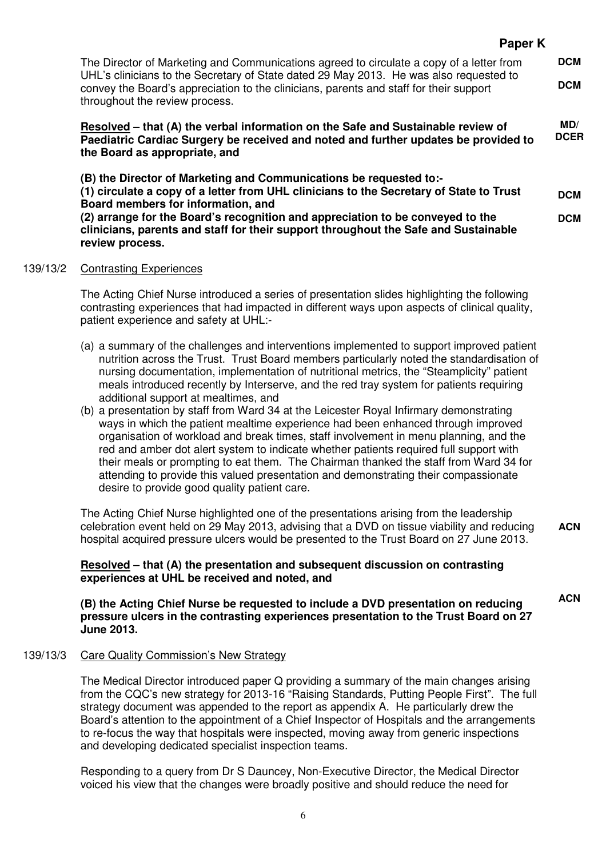|          | The Director of Marketing and Communications agreed to circulate a copy of a letter from<br>UHL's clinicians to the Secretary of State dated 29 May 2013. He was also requested to<br>convey the Board's appreciation to the clinicians, parents and staff for their support<br>throughout the review process.                                                                                                                                                                                                                                                                                                                                                                                                                                                                                                                                                                                                                                                                                                          |                          |  |
|----------|-------------------------------------------------------------------------------------------------------------------------------------------------------------------------------------------------------------------------------------------------------------------------------------------------------------------------------------------------------------------------------------------------------------------------------------------------------------------------------------------------------------------------------------------------------------------------------------------------------------------------------------------------------------------------------------------------------------------------------------------------------------------------------------------------------------------------------------------------------------------------------------------------------------------------------------------------------------------------------------------------------------------------|--------------------------|--|
|          | Resolved – that (A) the verbal information on the Safe and Sustainable review of<br>Paediatric Cardiac Surgery be received and noted and further updates be provided to<br>the Board as appropriate, and                                                                                                                                                                                                                                                                                                                                                                                                                                                                                                                                                                                                                                                                                                                                                                                                                | MD/<br><b>DCER</b>       |  |
|          | (B) the Director of Marketing and Communications be requested to:-<br>(1) circulate a copy of a letter from UHL clinicians to the Secretary of State to Trust<br>Board members for information, and<br>(2) arrange for the Board's recognition and appreciation to be conveyed to the<br>clinicians, parents and staff for their support throughout the Safe and Sustainable<br>review process.                                                                                                                                                                                                                                                                                                                                                                                                                                                                                                                                                                                                                         | <b>DCM</b><br><b>DCM</b> |  |
| 139/13/2 | <b>Contrasting Experiences</b>                                                                                                                                                                                                                                                                                                                                                                                                                                                                                                                                                                                                                                                                                                                                                                                                                                                                                                                                                                                          |                          |  |
|          | The Acting Chief Nurse introduced a series of presentation slides highlighting the following<br>contrasting experiences that had impacted in different ways upon aspects of clinical quality,<br>patient experience and safety at UHL:-                                                                                                                                                                                                                                                                                                                                                                                                                                                                                                                                                                                                                                                                                                                                                                                 |                          |  |
|          | (a) a summary of the challenges and interventions implemented to support improved patient<br>nutrition across the Trust. Trust Board members particularly noted the standardisation of<br>nursing documentation, implementation of nutritional metrics, the "Steamplicity" patient<br>meals introduced recently by Interserve, and the red tray system for patients requiring<br>additional support at mealtimes, and<br>(b) a presentation by staff from Ward 34 at the Leicester Royal Infirmary demonstrating<br>ways in which the patient mealtime experience had been enhanced through improved<br>organisation of workload and break times, staff involvement in menu planning, and the<br>red and amber dot alert system to indicate whether patients required full support with<br>their meals or prompting to eat them. The Chairman thanked the staff from Ward 34 for<br>attending to provide this valued presentation and demonstrating their compassionate<br>desire to provide good quality patient care. |                          |  |
|          | The Acting Chief Nurse highlighted one of the presentations arising from the leadership<br>celebration event held on 29 May 2013, advising that a DVD on tissue viability and reducing<br>hospital acquired pressure ulcers would be presented to the Trust Board on 27 June 2013.                                                                                                                                                                                                                                                                                                                                                                                                                                                                                                                                                                                                                                                                                                                                      | <b>ACN</b>               |  |
|          | Resolved – that (A) the presentation and subsequent discussion on contrasting<br>experiences at UHL be received and noted, and                                                                                                                                                                                                                                                                                                                                                                                                                                                                                                                                                                                                                                                                                                                                                                                                                                                                                          |                          |  |
|          | (B) the Acting Chief Nurse be requested to include a DVD presentation on reducing<br>pressure ulcers in the contrasting experiences presentation to the Trust Board on 27<br><b>June 2013.</b>                                                                                                                                                                                                                                                                                                                                                                                                                                                                                                                                                                                                                                                                                                                                                                                                                          | <b>ACN</b>               |  |
| 139/13/3 | <b>Care Quality Commission's New Strategy</b>                                                                                                                                                                                                                                                                                                                                                                                                                                                                                                                                                                                                                                                                                                                                                                                                                                                                                                                                                                           |                          |  |
|          | The Medical Director introduced paper Q providing a summary of the main changes arising<br>from the CQC's new strategy for 2013-16 "Raising Standards, Putting People First". The full<br>strategy document was appended to the report as appendix A. He particularly drew the<br>Board's attention to the appointment of a Chief Inspector of Hospitals and the arrangements<br>to re-focus the way that hospitals were inspected, moving away from generic inspections<br>and developing dedicated specialist inspection teams.                                                                                                                                                                                                                                                                                                                                                                                                                                                                                       |                          |  |
|          | Responding to a query from Dr S Dauncey, Non-Executive Director, the Medical Director                                                                                                                                                                                                                                                                                                                                                                                                                                                                                                                                                                                                                                                                                                                                                                                                                                                                                                                                   |                          |  |

**Paper K** 

Responding to a query from Dr S Dauncey, Non-Executive Director, the Medical Director voiced his view that the changes were broadly positive and should reduce the need for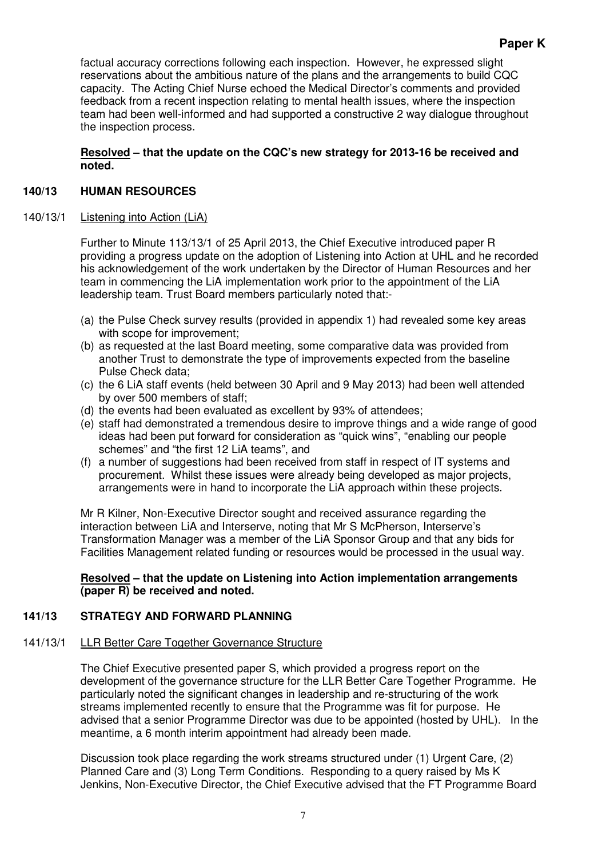factual accuracy corrections following each inspection. However, he expressed slight reservations about the ambitious nature of the plans and the arrangements to build CQC capacity. The Acting Chief Nurse echoed the Medical Director's comments and provided feedback from a recent inspection relating to mental health issues, where the inspection team had been well-informed and had supported a constructive 2 way dialogue throughout the inspection process.

# **Resolved – that the update on the CQC's new strategy for 2013-16 be received and noted.**

# **140/13 HUMAN RESOURCES**

# 140/13/1 Listening into Action (LiA)

Further to Minute 113/13/1 of 25 April 2013, the Chief Executive introduced paper R providing a progress update on the adoption of Listening into Action at UHL and he recorded his acknowledgement of the work undertaken by the Director of Human Resources and her team in commencing the LiA implementation work prior to the appointment of the LiA leadership team. Trust Board members particularly noted that:-

- (a) the Pulse Check survey results (provided in appendix 1) had revealed some key areas with scope for improvement;
- (b) as requested at the last Board meeting, some comparative data was provided from another Trust to demonstrate the type of improvements expected from the baseline Pulse Check data;
- (c) the 6 LiA staff events (held between 30 April and 9 May 2013) had been well attended by over 500 members of staff;
- (d) the events had been evaluated as excellent by 93% of attendees;
- (e) staff had demonstrated a tremendous desire to improve things and a wide range of good ideas had been put forward for consideration as "quick wins", "enabling our people schemes" and "the first 12 LiA teams", and
- (f) a number of suggestions had been received from staff in respect of IT systems and procurement. Whilst these issues were already being developed as major projects, arrangements were in hand to incorporate the LiA approach within these projects.

Mr R Kilner, Non-Executive Director sought and received assurance regarding the interaction between LiA and Interserve, noting that Mr S McPherson, Interserve's Transformation Manager was a member of the LiA Sponsor Group and that any bids for Facilities Management related funding or resources would be processed in the usual way.

#### **Resolved – that the update on Listening into Action implementation arrangements (paper R) be received and noted.**

# **141/13 STRATEGY AND FORWARD PLANNING**

# 141/13/1 LLR Better Care Together Governance Structure

The Chief Executive presented paper S, which provided a progress report on the development of the governance structure for the LLR Better Care Together Programme. He particularly noted the significant changes in leadership and re-structuring of the work streams implemented recently to ensure that the Programme was fit for purpose. He advised that a senior Programme Director was due to be appointed (hosted by UHL). In the meantime, a 6 month interim appointment had already been made.

Discussion took place regarding the work streams structured under (1) Urgent Care, (2) Planned Care and (3) Long Term Conditions. Responding to a query raised by Ms K Jenkins, Non-Executive Director, the Chief Executive advised that the FT Programme Board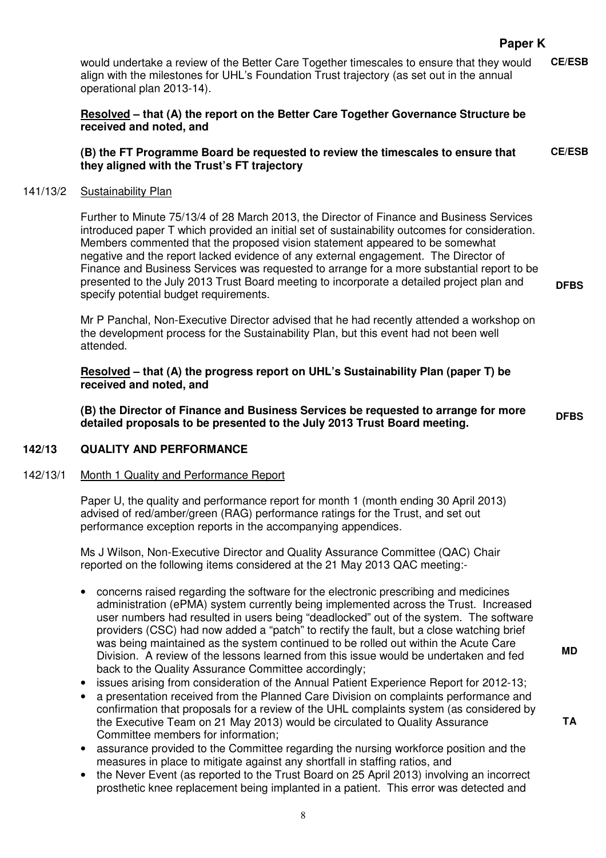# **Paper K**

would undertake a review of the Better Care Together timescales to ensure that they would align with the milestones for UHL's Foundation Trust trajectory (as set out in the annual operational plan 2013-14). **CE/ESB** 

# **Resolved – that (A) the report on the Better Care Together Governance Structure be received and noted, and**

#### **(B) the FT Programme Board be requested to review the timescales to ensure that they aligned with the Trust's FT trajectory CE/ESB**

#### 141/13/2 Sustainability Plan

Further to Minute 75/13/4 of 28 March 2013, the Director of Finance and Business Services introduced paper T which provided an initial set of sustainability outcomes for consideration. Members commented that the proposed vision statement appeared to be somewhat negative and the report lacked evidence of any external engagement. The Director of Finance and Business Services was requested to arrange for a more substantial report to be presented to the July 2013 Trust Board meeting to incorporate a detailed project plan and specify potential budget requirements.

Mr P Panchal, Non-Executive Director advised that he had recently attended a workshop on the development process for the Sustainability Plan, but this event had not been well attended.

**Resolved – that (A) the progress report on UHL's Sustainability Plan (paper T) be received and noted, and** 

**(B) the Director of Finance and Business Services be requested to arrange for more detailed proposals to be presented to the July 2013 Trust Board meeting. DFBS** 

#### **142/13 QUALITY AND PERFORMANCE**

#### 142/13/1 Month 1 Quality and Performance Report

Paper U, the quality and performance report for month 1 (month ending 30 April 2013) advised of red/amber/green (RAG) performance ratings for the Trust, and set out performance exception reports in the accompanying appendices.

Ms J Wilson, Non-Executive Director and Quality Assurance Committee (QAC) Chair reported on the following items considered at the 21 May 2013 QAC meeting:-

- concerns raised regarding the software for the electronic prescribing and medicines administration (ePMA) system currently being implemented across the Trust. Increased user numbers had resulted in users being "deadlocked" out of the system. The software providers (CSC) had now added a "patch" to rectify the fault, but a close watching brief was being maintained as the system continued to be rolled out within the Acute Care Division. A review of the lessons learned from this issue would be undertaken and fed back to the Quality Assurance Committee accordingly;
- issues arising from consideration of the Annual Patient Experience Report for 2012-13;
- a presentation received from the Planned Care Division on complaints performance and confirmation that proposals for a review of the UHL complaints system (as considered by the Executive Team on 21 May 2013) would be circulated to Quality Assurance Committee members for information;
- assurance provided to the Committee regarding the nursing workforce position and the measures in place to mitigate against any shortfall in staffing ratios, and
- the Never Event (as reported to the Trust Board on 25 April 2013) involving an incorrect prosthetic knee replacement being implanted in a patient. This error was detected and

**MD** 

**DFBS**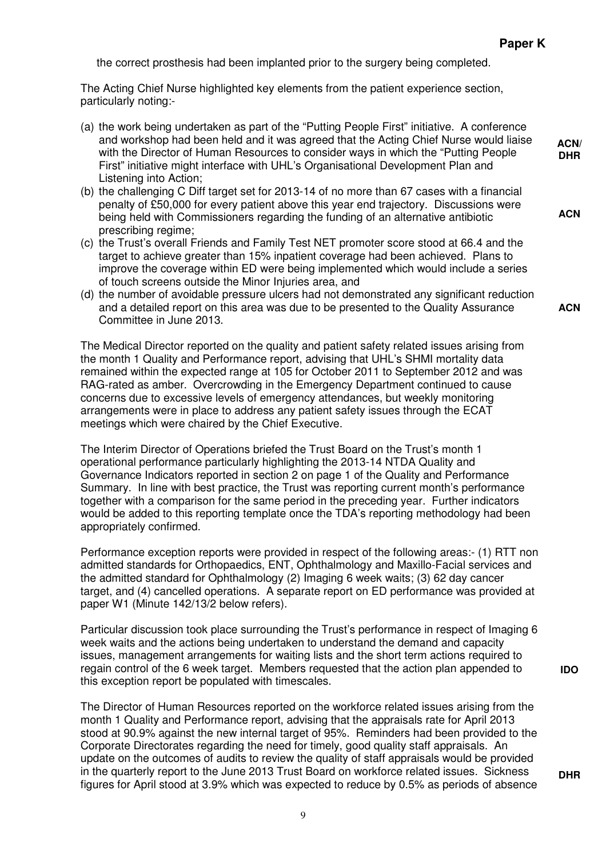the correct prosthesis had been implanted prior to the surgery being completed.

The Acting Chief Nurse highlighted key elements from the patient experience section, particularly noting:-

- (a) the work being undertaken as part of the "Putting People First" initiative. A conference and workshop had been held and it was agreed that the Acting Chief Nurse would liaise with the Director of Human Resources to consider ways in which the "Putting People First" initiative might interface with UHL's Organisational Development Plan and Listening into Action; **ACN/**
- (b) the challenging C Diff target set for 2013-14 of no more than 67 cases with a financial penalty of £50,000 for every patient above this year end trajectory. Discussions were being held with Commissioners regarding the funding of an alternative antibiotic prescribing regime;
- (c) the Trust's overall Friends and Family Test NET promoter score stood at 66.4 and the target to achieve greater than 15% inpatient coverage had been achieved. Plans to improve the coverage within ED were being implemented which would include a series of touch screens outside the Minor Injuries area, and
- (d) the number of avoidable pressure ulcers had not demonstrated any significant reduction and a detailed report on this area was due to be presented to the Quality Assurance Committee in June 2013.

The Medical Director reported on the quality and patient safety related issues arising from the month 1 Quality and Performance report, advising that UHL's SHMI mortality data remained within the expected range at 105 for October 2011 to September 2012 and was RAG-rated as amber. Overcrowding in the Emergency Department continued to cause concerns due to excessive levels of emergency attendances, but weekly monitoring arrangements were in place to address any patient safety issues through the ECAT meetings which were chaired by the Chief Executive.

The Interim Director of Operations briefed the Trust Board on the Trust's month 1 operational performance particularly highlighting the 2013-14 NTDA Quality and Governance Indicators reported in section 2 on page 1 of the Quality and Performance Summary. In line with best practice, the Trust was reporting current month's performance together with a comparison for the same period in the preceding year. Further indicators would be added to this reporting template once the TDA's reporting methodology had been appropriately confirmed.

Performance exception reports were provided in respect of the following areas:- (1) RTT non admitted standards for Orthopaedics, ENT, Ophthalmology and Maxillo-Facial services and the admitted standard for Ophthalmology (2) Imaging 6 week waits; (3) 62 day cancer target, and (4) cancelled operations. A separate report on ED performance was provided at paper W1 (Minute 142/13/2 below refers).

Particular discussion took place surrounding the Trust's performance in respect of Imaging 6 week waits and the actions being undertaken to understand the demand and capacity issues, management arrangements for waiting lists and the short term actions required to regain control of the 6 week target. Members requested that the action plan appended to this exception report be populated with timescales.

The Director of Human Resources reported on the workforce related issues arising from the month 1 Quality and Performance report, advising that the appraisals rate for April 2013 stood at 90.9% against the new internal target of 95%. Reminders had been provided to the Corporate Directorates regarding the need for timely, good quality staff appraisals. An update on the outcomes of audits to review the quality of staff appraisals would be provided in the quarterly report to the June 2013 Trust Board on workforce related issues. Sickness figures for April stood at 3.9% which was expected to reduce by 0.5% as periods of absence **ACN** 

**DHR** 

**ACN** 

**DHR**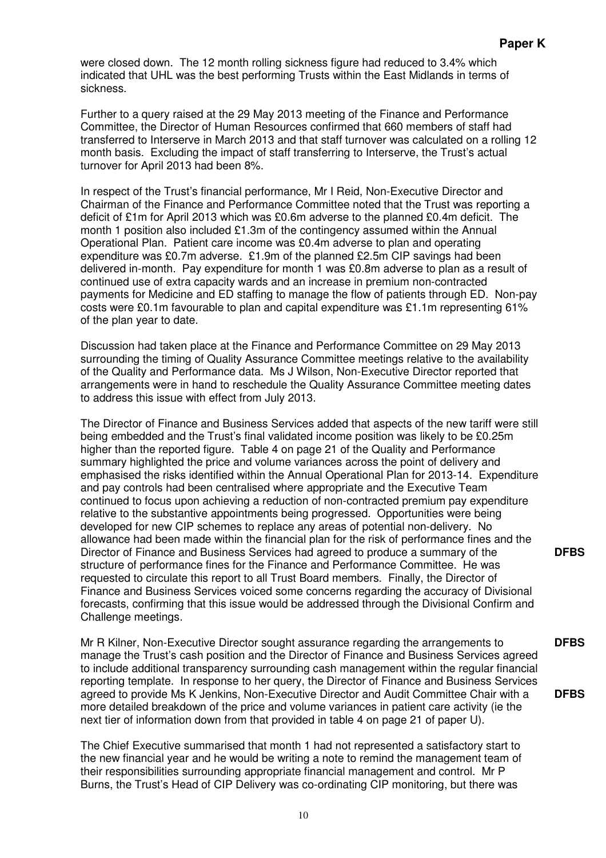were closed down. The 12 month rolling sickness figure had reduced to 3.4% which indicated that UHL was the best performing Trusts within the East Midlands in terms of sickness.

Further to a query raised at the 29 May 2013 meeting of the Finance and Performance Committee, the Director of Human Resources confirmed that 660 members of staff had transferred to Interserve in March 2013 and that staff turnover was calculated on a rolling 12 month basis. Excluding the impact of staff transferring to Interserve, the Trust's actual turnover for April 2013 had been 8%.

In respect of the Trust's financial performance, Mr I Reid, Non-Executive Director and Chairman of the Finance and Performance Committee noted that the Trust was reporting a deficit of £1m for April 2013 which was £0.6m adverse to the planned £0.4m deficit. The month 1 position also included £1.3m of the contingency assumed within the Annual Operational Plan. Patient care income was £0.4m adverse to plan and operating expenditure was £0.7m adverse. £1.9m of the planned £2.5m CIP savings had been delivered in-month. Pay expenditure for month 1 was £0.8m adverse to plan as a result of continued use of extra capacity wards and an increase in premium non-contracted payments for Medicine and ED staffing to manage the flow of patients through ED. Non-pay costs were £0.1m favourable to plan and capital expenditure was £1.1m representing 61% of the plan year to date.

Discussion had taken place at the Finance and Performance Committee on 29 May 2013 surrounding the timing of Quality Assurance Committee meetings relative to the availability of the Quality and Performance data. Ms J Wilson, Non-Executive Director reported that arrangements were in hand to reschedule the Quality Assurance Committee meeting dates to address this issue with effect from July 2013.

The Director of Finance and Business Services added that aspects of the new tariff were still being embedded and the Trust's final validated income position was likely to be £0.25m higher than the reported figure. Table 4 on page 21 of the Quality and Performance summary highlighted the price and volume variances across the point of delivery and emphasised the risks identified within the Annual Operational Plan for 2013-14. Expenditure and pay controls had been centralised where appropriate and the Executive Team continued to focus upon achieving a reduction of non-contracted premium pay expenditure relative to the substantive appointments being progressed. Opportunities were being developed for new CIP schemes to replace any areas of potential non-delivery. No allowance had been made within the financial plan for the risk of performance fines and the Director of Finance and Business Services had agreed to produce a summary of the structure of performance fines for the Finance and Performance Committee. He was requested to circulate this report to all Trust Board members. Finally, the Director of Finance and Business Services voiced some concerns regarding the accuracy of Divisional forecasts, confirming that this issue would be addressed through the Divisional Confirm and Challenge meetings.

Mr R Kilner, Non-Executive Director sought assurance regarding the arrangements to manage the Trust's cash position and the Director of Finance and Business Services agreed to include additional transparency surrounding cash management within the regular financial reporting template. In response to her query, the Director of Finance and Business Services agreed to provide Ms K Jenkins, Non-Executive Director and Audit Committee Chair with a more detailed breakdown of the price and volume variances in patient care activity (ie the next tier of information down from that provided in table 4 on page 21 of paper U).

The Chief Executive summarised that month 1 had not represented a satisfactory start to the new financial year and he would be writing a note to remind the management team of their responsibilities surrounding appropriate financial management and control. Mr P Burns, the Trust's Head of CIP Delivery was co-ordinating CIP monitoring, but there was

**DFBS** 

**DFBS** 

**DFBS**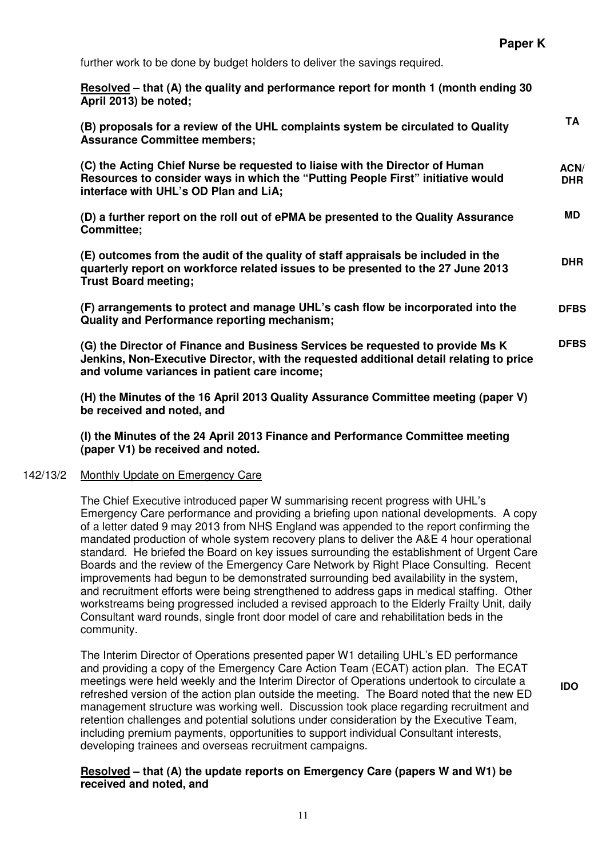further work to be done by budget holders to deliver the savings required.

**Resolved – that (A) the quality and performance report for month 1 (month ending 30 April 2013) be noted;** 

| (B) proposals for a review of the UHL complaints system be circulated to Quality<br><b>Assurance Committee members;</b>                                                                                                   | <b>TA</b>          |
|---------------------------------------------------------------------------------------------------------------------------------------------------------------------------------------------------------------------------|--------------------|
| (C) the Acting Chief Nurse be requested to liaise with the Director of Human<br>Resources to consider ways in which the "Putting People First" initiative would<br>interface with UHL's OD Plan and LiA;                  | ACN/<br><b>DHR</b> |
| (D) a further report on the roll out of ePMA be presented to the Quality Assurance<br>Committee;                                                                                                                          | MD.                |
| (E) outcomes from the audit of the quality of staff appraisals be included in the<br>quarterly report on workforce related issues to be presented to the 27 June 2013<br><b>Trust Board meeting;</b>                      | <b>DHR</b>         |
| (F) arrangements to protect and manage UHL's cash flow be incorporated into the<br><b>Quality and Performance reporting mechanism;</b>                                                                                    | <b>DFBS</b>        |
| (G) the Director of Finance and Business Services be requested to provide Ms K<br>Jenkins, Non-Executive Director, with the requested additional detail relating to price<br>and volume variances in patient care income; | <b>DFBS</b>        |
| (H) the Minutes of the 16 April 2013 Quality Assurance Committee meeting (paper V)<br>be received and noted, and                                                                                                          |                    |

**(I) the Minutes of the 24 April 2013 Finance and Performance Committee meeting (paper V1) be received and noted.** 

#### 142/13/2 Monthly Update on Emergency Care

The Chief Executive introduced paper W summarising recent progress with UHL's Emergency Care performance and providing a briefing upon national developments. A copy of a letter dated 9 may 2013 from NHS England was appended to the report confirming the mandated production of whole system recovery plans to deliver the A&E 4 hour operational standard. He briefed the Board on key issues surrounding the establishment of Urgent Care Boards and the review of the Emergency Care Network by Right Place Consulting. Recent improvements had begun to be demonstrated surrounding bed availability in the system, and recruitment efforts were being strengthened to address gaps in medical staffing. Other workstreams being progressed included a revised approach to the Elderly Frailty Unit, daily Consultant ward rounds, single front door model of care and rehabilitation beds in the community.

The Interim Director of Operations presented paper W1 detailing UHL's ED performance and providing a copy of the Emergency Care Action Team (ECAT) action plan. The ECAT meetings were held weekly and the Interim Director of Operations undertook to circulate a refreshed version of the action plan outside the meeting. The Board noted that the new ED management structure was working well. Discussion took place regarding recruitment and retention challenges and potential solutions under consideration by the Executive Team, including premium payments, opportunities to support individual Consultant interests, developing trainees and overseas recruitment campaigns.

#### **Resolved – that (A) the update reports on Emergency Care (papers W and W1) be received and noted, and**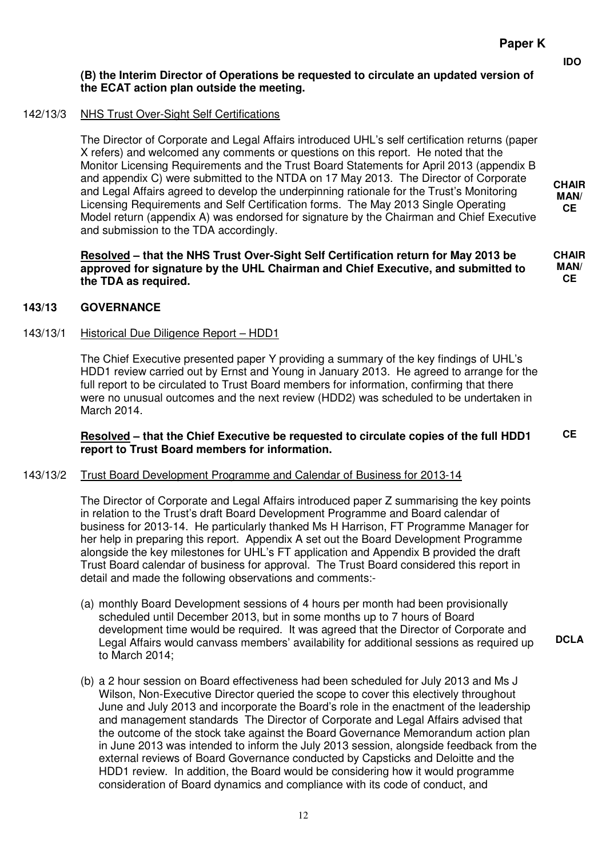**CHAIR MAN/ CE** 

**CHAIR MAN/ CE**

**CE** 

# **(B) the Interim Director of Operations be requested to circulate an updated version of the ECAT action plan outside the meeting.**

# 142/13/3 NHS Trust Over-Sight Self Certifications

The Director of Corporate and Legal Affairs introduced UHL's self certification returns (paper X refers) and welcomed any comments or questions on this report. He noted that the Monitor Licensing Requirements and the Trust Board Statements for April 2013 (appendix B and appendix C) were submitted to the NTDA on 17 May 2013. The Director of Corporate and Legal Affairs agreed to develop the underpinning rationale for the Trust's Monitoring Licensing Requirements and Self Certification forms. The May 2013 Single Operating Model return (appendix A) was endorsed for signature by the Chairman and Chief Executive and submission to the TDA accordingly.

**Resolved – that the NHS Trust Over-Sight Self Certification return for May 2013 be approved for signature by the UHL Chairman and Chief Executive, and submitted to the TDA as required.** 

**143/13 GOVERNANCE** 

#### 143/13/1 Historical Due Diligence Report – HDD1

The Chief Executive presented paper Y providing a summary of the key findings of UHL's HDD1 review carried out by Ernst and Young in January 2013. He agreed to arrange for the full report to be circulated to Trust Board members for information, confirming that there were no unusual outcomes and the next review (HDD2) was scheduled to be undertaken in March 2014.

### **Resolved – that the Chief Executive be requested to circulate copies of the full HDD1 report to Trust Board members for information.**

# 143/13/2 Trust Board Development Programme and Calendar of Business for 2013-14

The Director of Corporate and Legal Affairs introduced paper Z summarising the key points in relation to the Trust's draft Board Development Programme and Board calendar of business for 2013-14. He particularly thanked Ms H Harrison, FT Programme Manager for her help in preparing this report. Appendix A set out the Board Development Programme alongside the key milestones for UHL's FT application and Appendix B provided the draft Trust Board calendar of business for approval. The Trust Board considered this report in detail and made the following observations and comments:-

- (a) monthly Board Development sessions of 4 hours per month had been provisionally scheduled until December 2013, but in some months up to 7 hours of Board development time would be required. It was agreed that the Director of Corporate and Legal Affairs would canvass members' availability for additional sessions as required up to March 2014;
- (b) a 2 hour session on Board effectiveness had been scheduled for July 2013 and Ms J Wilson, Non-Executive Director queried the scope to cover this electively throughout June and July 2013 and incorporate the Board's role in the enactment of the leadership and management standards The Director of Corporate and Legal Affairs advised that the outcome of the stock take against the Board Governance Memorandum action plan in June 2013 was intended to inform the July 2013 session, alongside feedback from the external reviews of Board Governance conducted by Capsticks and Deloitte and the HDD1 review. In addition, the Board would be considering how it would programme consideration of Board dynamics and compliance with its code of conduct, and

12

**DCLA**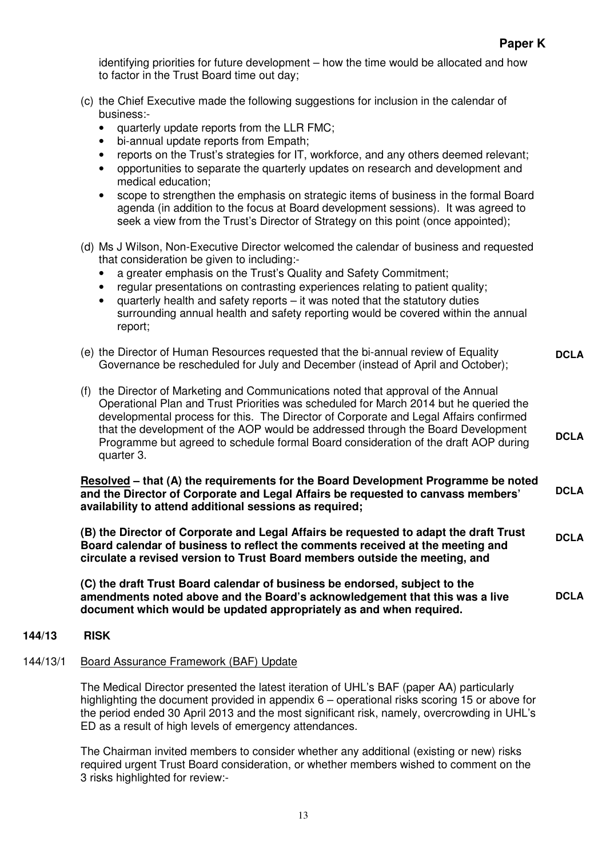identifying priorities for future development – how the time would be allocated and how to factor in the Trust Board time out day;

- (c) the Chief Executive made the following suggestions for inclusion in the calendar of business:-
	- quarterly update reports from the LLR FMC;
	- bi-annual update reports from Empath;
	- reports on the Trust's strategies for IT, workforce, and any others deemed relevant;
	- opportunities to separate the quarterly updates on research and development and medical education;
	- scope to strengthen the emphasis on strategic items of business in the formal Board agenda (in addition to the focus at Board development sessions). It was agreed to seek a view from the Trust's Director of Strategy on this point (once appointed);
- (d) Ms J Wilson, Non-Executive Director welcomed the calendar of business and requested that consideration be given to including:-
	- a greater emphasis on the Trust's Quality and Safety Commitment;
	- regular presentations on contrasting experiences relating to patient quality;
	- quarterly health and safety reports it was noted that the statutory duties surrounding annual health and safety reporting would be covered within the annual report;
- (e) the Director of Human Resources requested that the bi-annual review of Equality Governance be rescheduled for July and December (instead of April and October); **DCLA**
- (f) the Director of Marketing and Communications noted that approval of the Annual Operational Plan and Trust Priorities was scheduled for March 2014 but he queried the developmental process for this. The Director of Corporate and Legal Affairs confirmed that the development of the AOP would be addressed through the Board Development Programme but agreed to schedule formal Board consideration of the draft AOP during quarter 3. **DCLA**

**Resolved – that (A) the requirements for the Board Development Programme be noted and the Director of Corporate and Legal Affairs be requested to canvass members' availability to attend additional sessions as required; DCLA** 

**(B) the Director of Corporate and Legal Affairs be requested to adapt the draft Trust Board calendar of business to reflect the comments received at the meeting and circulate a revised version to Trust Board members outside the meeting, and DCLA** 

**(C) the draft Trust Board calendar of business be endorsed, subject to the amendments noted above and the Board's acknowledgement that this was a live document which would be updated appropriately as and when required. DCLA** 

#### **144/13 RISK**

# 144/13/1 Board Assurance Framework (BAF) Update

The Medical Director presented the latest iteration of UHL's BAF (paper AA) particularly highlighting the document provided in appendix 6 – operational risks scoring 15 or above for the period ended 30 April 2013 and the most significant risk, namely, overcrowding in UHL's ED as a result of high levels of emergency attendances.

The Chairman invited members to consider whether any additional (existing or new) risks required urgent Trust Board consideration, or whether members wished to comment on the 3 risks highlighted for review:-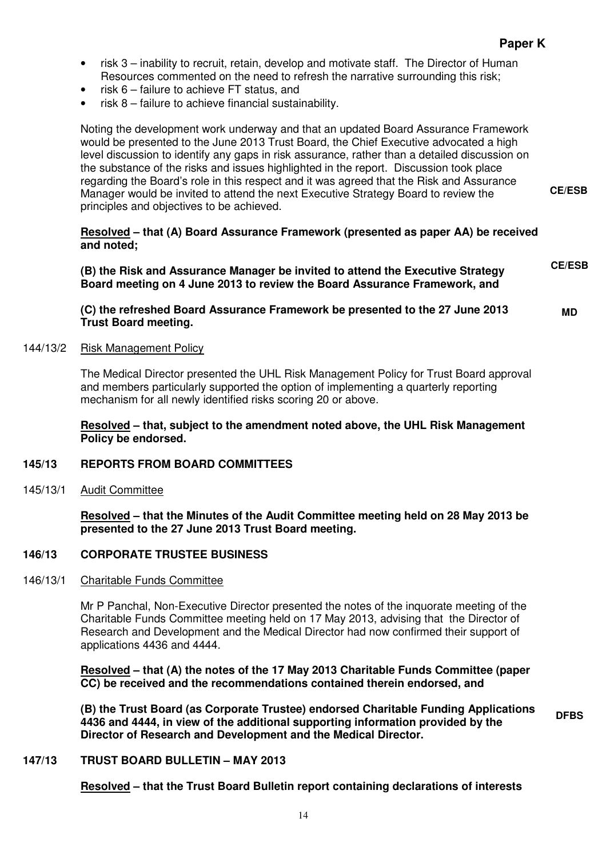**CE/ESB** 

**MD** 

- risk 3 inability to recruit, retain, develop and motivate staff. The Director of Human Resources commented on the need to refresh the narrative surrounding this risk;
- risk  $6$  failure to achieve FT status, and
- risk  $8$  failure to achieve financial sustainability.

Noting the development work underway and that an updated Board Assurance Framework would be presented to the June 2013 Trust Board, the Chief Executive advocated a high level discussion to identify any gaps in risk assurance, rather than a detailed discussion on the substance of the risks and issues highlighted in the report. Discussion took place regarding the Board's role in this respect and it was agreed that the Risk and Assurance Manager would be invited to attend the next Executive Strategy Board to review the principles and objectives to be achieved.

**Resolved – that (A) Board Assurance Framework (presented as paper AA) be received and noted;** 

| (B) the Risk and Assurance Manager be invited to attend the Executive Strategy<br>Board meeting on 4 June 2013 to review the Board Assurance Framework, and | <b>CE/ESB</b> |
|-------------------------------------------------------------------------------------------------------------------------------------------------------------|---------------|
|                                                                                                                                                             |               |

**(C) the refreshed Board Assurance Framework be presented to the 27 June 2013 Trust Board meeting.** 

#### 144/13/2 Risk Management Policy

The Medical Director presented the UHL Risk Management Policy for Trust Board approval and members particularly supported the option of implementing a quarterly reporting mechanism for all newly identified risks scoring 20 or above.

**Resolved – that, subject to the amendment noted above, the UHL Risk Management Policy be endorsed.** 

#### **145/13 REPORTS FROM BOARD COMMITTEES**

145/13/1 Audit Committee

**Resolved – that the Minutes of the Audit Committee meeting held on 28 May 2013 be presented to the 27 June 2013 Trust Board meeting.** 

# **146/13 CORPORATE TRUSTEE BUSINESS**

146/13/1 Charitable Funds Committee

Mr P Panchal, Non-Executive Director presented the notes of the inquorate meeting of the Charitable Funds Committee meeting held on 17 May 2013, advising that the Director of Research and Development and the Medical Director had now confirmed their support of applications 4436 and 4444.

**Resolved – that (A) the notes of the 17 May 2013 Charitable Funds Committee (paper CC) be received and the recommendations contained therein endorsed, and** 

**(B) the Trust Board (as Corporate Trustee) endorsed Charitable Funding Applications 4436 and 4444, in view of the additional supporting information provided by the Director of Research and Development and the Medical Director. DFBS** 

#### **147/13 TRUST BOARD BULLETIN – MAY 2013**

**Resolved – that the Trust Board Bulletin report containing declarations of interests**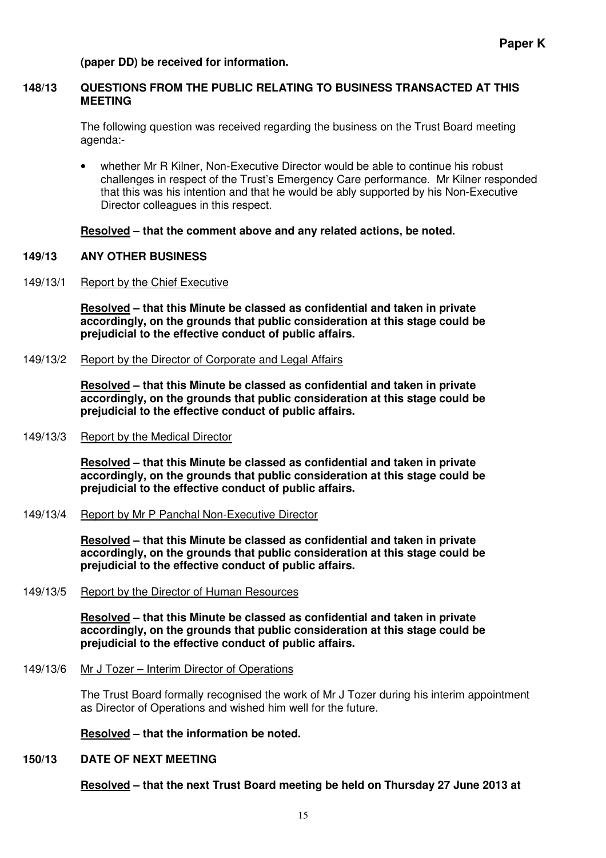#### **(paper DD) be received for information.**

#### **148/13 QUESTIONS FROM THE PUBLIC RELATING TO BUSINESS TRANSACTED AT THIS MEETING**

The following question was received regarding the business on the Trust Board meeting agenda:-

• whether Mr R Kilner, Non-Executive Director would be able to continue his robust challenges in respect of the Trust's Emergency Care performance. Mr Kilner responded that this was his intention and that he would be ably supported by his Non-Executive Director colleagues in this respect.

#### **Resolved – that the comment above and any related actions, be noted.**

#### **149/13 ANY OTHER BUSINESS**

149/13/1 Report by the Chief Executive

**Resolved – that this Minute be classed as confidential and taken in private accordingly, on the grounds that public consideration at this stage could be prejudicial to the effective conduct of public affairs.**

149/13/2 Report by the Director of Corporate and Legal Affairs

**Resolved – that this Minute be classed as confidential and taken in private accordingly, on the grounds that public consideration at this stage could be prejudicial to the effective conduct of public affairs.**

149/13/3 Report by the Medical Director

**Resolved – that this Minute be classed as confidential and taken in private accordingly, on the grounds that public consideration at this stage could be prejudicial to the effective conduct of public affairs.**

149/13/4 Report by Mr P Panchal Non-Executive Director

**Resolved – that this Minute be classed as confidential and taken in private accordingly, on the grounds that public consideration at this stage could be prejudicial to the effective conduct of public affairs.**

149/13/5 Report by the Director of Human Resources

**Resolved – that this Minute be classed as confidential and taken in private accordingly, on the grounds that public consideration at this stage could be prejudicial to the effective conduct of public affairs.**

149/13/6 Mr J Tozer – Interim Director of Operations

The Trust Board formally recognised the work of Mr J Tozer during his interim appointment as Director of Operations and wished him well for the future.

**Resolved – that the information be noted.** 

#### **150/13 DATE OF NEXT MEETING**

**Resolved – that the next Trust Board meeting be held on Thursday 27 June 2013 at**